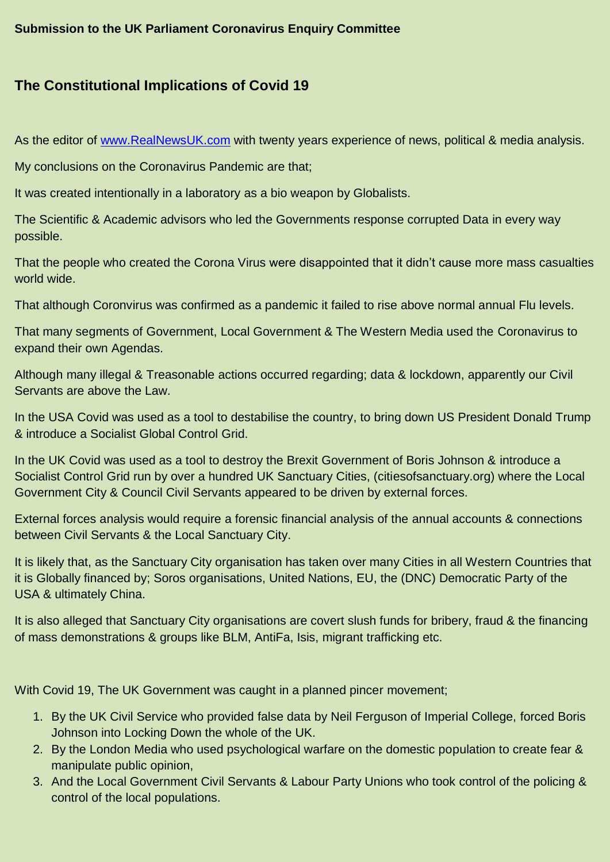## **The Constitutional Implications of Covid 19**

As the editor of [www.RealNewsUK.com](http://www.realnewsuk.com/) with twenty years experience of news, political & media analysis.

My conclusions on the Coronavirus Pandemic are that;

It was created intentionally in a laboratory as a bio weapon by Globalists.

The Scientific & Academic advisors who led the Governments response corrupted Data in every way possible.

That the people who created the Corona Virus were disappointed that it didn't cause more mass casualties world wide.

That although Coronvirus was confirmed as a pandemic it failed to rise above normal annual Flu levels.

That many segments of Government, Local Government & The Western Media used the Coronavirus to expand their own Agendas.

Although many illegal & Treasonable actions occurred regarding; data & lockdown, apparently our Civil Servants are above the Law.

In the USA Covid was used as a tool to destabilise the country, to bring down US President Donald Trump & introduce a Socialist Global Control Grid.

In the UK Covid was used as a tool to destroy the Brexit Government of Boris Johnson & introduce a Socialist Control Grid run by over a hundred UK Sanctuary Cities, (citiesofsanctuary.org) where the Local Government City & Council Civil Servants appeared to be driven by external forces.

External forces analysis would require a forensic financial analysis of the annual accounts & connections between Civil Servants & the Local Sanctuary City.

It is likely that, as the Sanctuary City organisation has taken over many Cities in all Western Countries that it is Globally financed by; Soros organisations, United Nations, EU, the (DNC) Democratic Party of the USA & ultimately China.

It is also alleged that Sanctuary City organisations are covert slush funds for bribery, fraud & the financing of mass demonstrations & groups like BLM, AntiFa, Isis, migrant trafficking etc.

With Covid 19, The UK Government was caught in a planned pincer movement;

- 1. By the UK Civil Service who provided false data by Neil Ferguson of Imperial College, forced Boris Johnson into Locking Down the whole of the UK.
- 2. By the London Media who used psychological warfare on the domestic population to create fear & manipulate public opinion,
- 3. And the Local Government Civil Servants & Labour Party Unions who took control of the policing & control of the local populations.